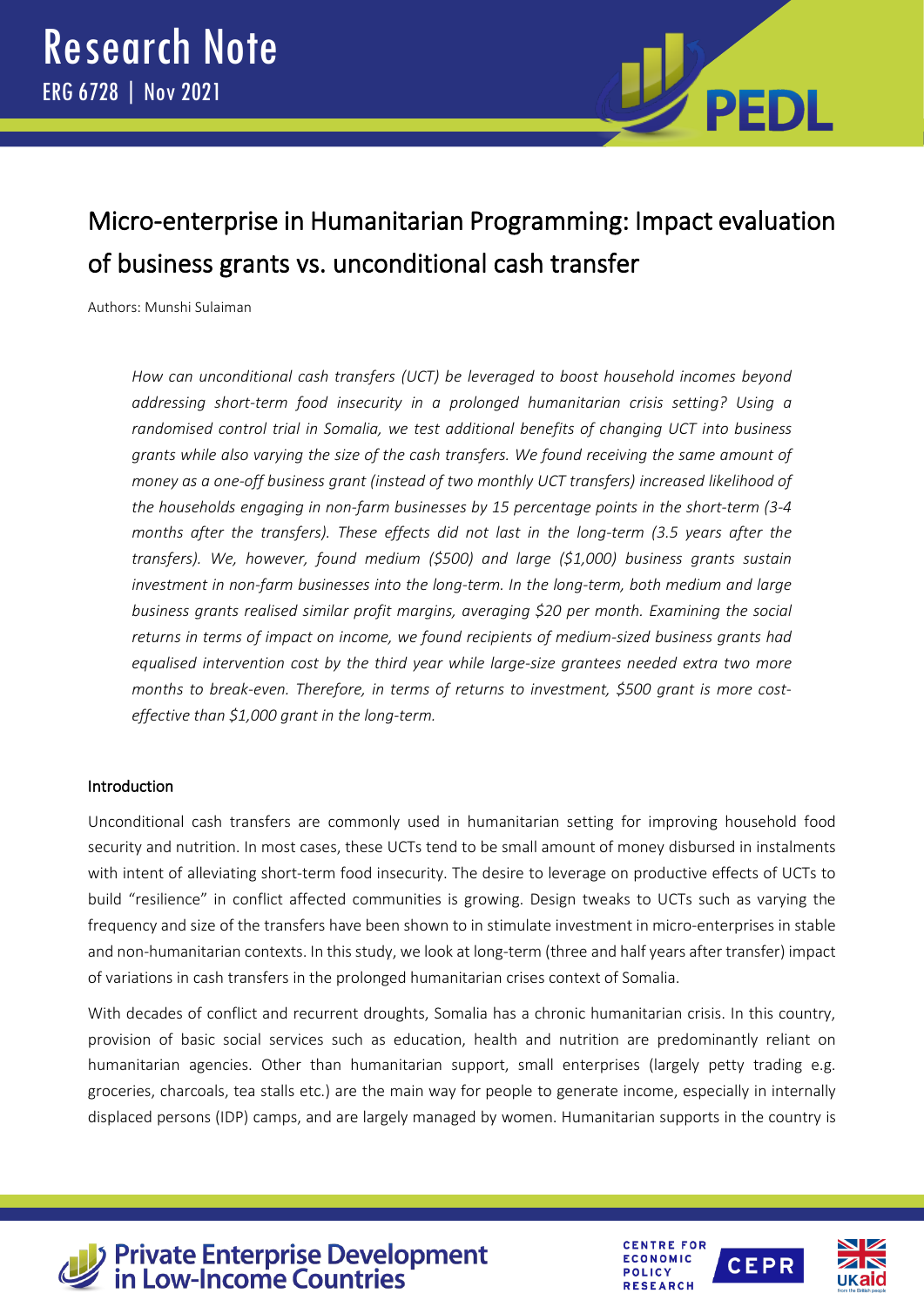

# Micro-enterprise in Humanitarian Programming: Impact evaluation of business grants vs. unconditional cash transfer

Authors: Munshi Sulaiman

*How can unconditional cash transfers (UCT) be leveraged to boost household incomes beyond addressing short-term food insecurity in a prolonged humanitarian crisis setting? Using a randomised control trial in Somalia, we test additional benefits of changing UCT into business grants while also varying the size of the cash transfers. We found receiving the same amount of money as a one-off business grant (instead of two monthly UCT transfers) increased likelihood of the households engaging in non-farm businesses by 15 percentage points in the short-term (3-4 months after the transfers). These effects did not last in the long-term (3.5 years after the transfers). We, however, found medium (\$500) and large (\$1,000) business grants sustain investment in non-farm businesses into the long-term. In the long-term, both medium and large business grants realised similar profit margins, averaging \$20 per month. Examining the social returns in terms of impact on income, we found recipients of medium-sized business grants had equalised intervention cost by the third year while large-size grantees needed extra two more months to break-even. Therefore, in terms of returns to investment, \$500 grant is more costeffective than \$1,000 grant in the long-term.*

# Introduction

Unconditional cash transfers are commonly used in humanitarian setting for improving household food security and nutrition. In most cases, these UCTs tend to be small amount of money disbursed in instalments with intent of alleviating short-term food insecurity. The desire to leverage on productive effects of UCTs to build "resilience" in conflict affected communities is growing. Design tweaks to UCTs such as varying the frequency and size of the transfers have been shown to in stimulate investment in micro-enterprises in stable and non-humanitarian contexts. In this study, we look at long-term (three and half years after transfer) impact of variations in cash transfers in the prolonged humanitarian crises context of Somalia.

With decades of conflict and recurrent droughts, Somalia has a chronic humanitarian crisis. In this country, provision of basic social services such as education, health and nutrition are predominantly reliant on humanitarian agencies. Other than humanitarian support, small enterprises (largely petty trading e.g. groceries, charcoals, tea stalls etc.) are the main way for people to generate income, especially in internally displaced persons (IDP) camps, and are largely managed by women. Humanitarian supports in the country is



**Private Enterprise Development<br>in Low-Income Countries** 



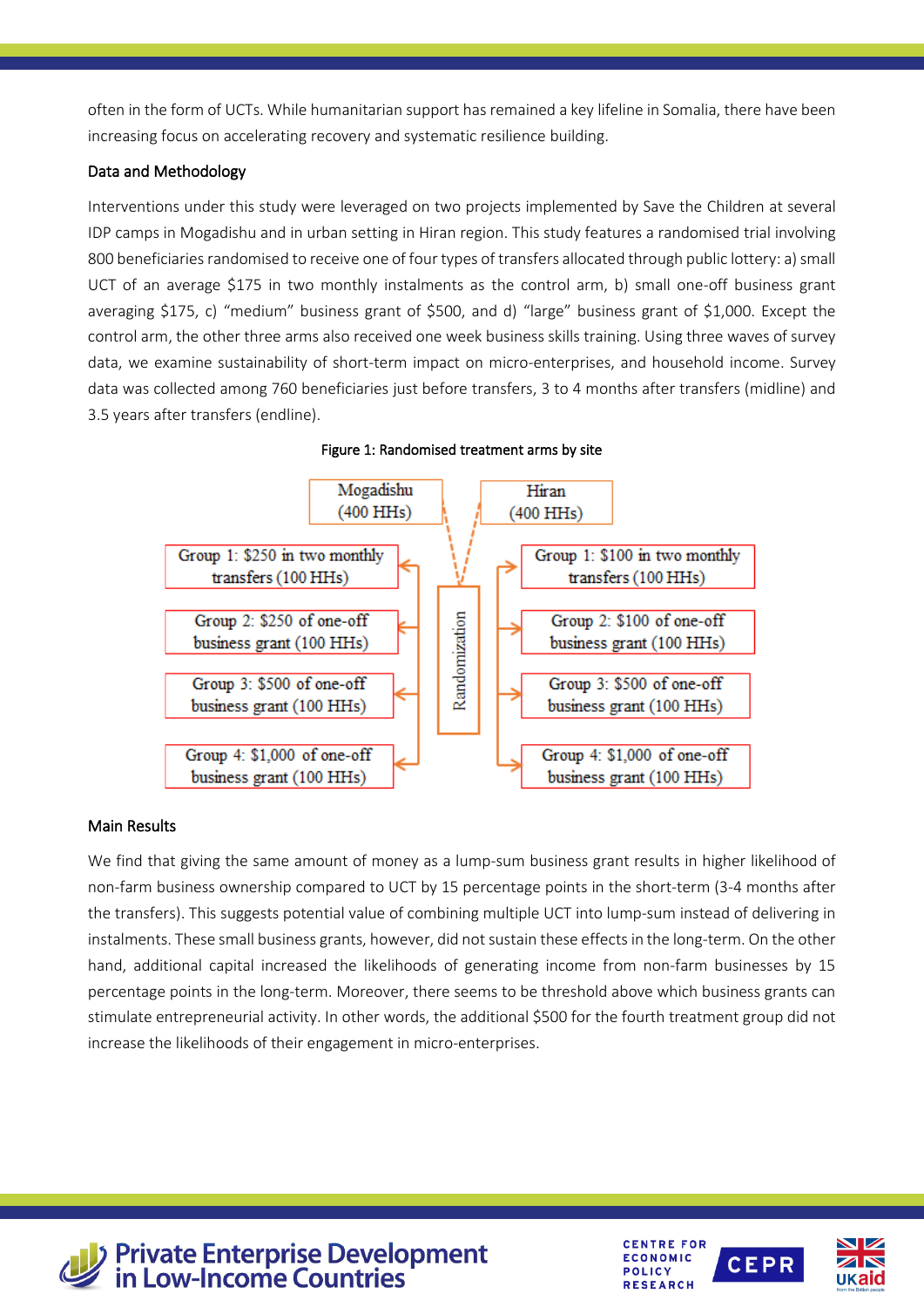often in the form of UCTs. While humanitarian support has remained a key lifeline in Somalia, there have been increasing focus on accelerating recovery and systematic resilience building.

# Data and Methodology

Interventions under this study were leveraged on two projects implemented by Save the Children at several IDP camps in Mogadishu and in urban setting in Hiran region. This study features a randomised trial involving 800 beneficiaries randomised to receive one of four types of transfers allocated through public lottery: a) small UCT of an average \$175 in two monthly instalments as the control arm, b) small one-off business grant averaging \$175, c) "medium" business grant of \$500, and d) "large" business grant of \$1,000. Except the control arm, the other three arms also received one week business skills training. Using three waves of survey data, we examine sustainability of short-term impact on micro-enterprises, and household income. Survey data was collected among 760 beneficiaries just before transfers, 3 to 4 months after transfers (midline) and 3.5 years after transfers (endline).



Figure 1: Randomised treatment arms by site

# Main Results

We find that giving the same amount of money as a lump-sum business grant results in higher likelihood of non-farm business ownership compared to UCT by 15 percentage points in the short-term (3-4 months after the transfers). This suggests potential value of combining multiple UCT into lump-sum instead of delivering in instalments. These small business grants, however, did not sustain these effects in the long-term. On the other hand, additional capital increased the likelihoods of generating income from non-farm businesses by 15 percentage points in the long-term. Moreover, there seems to be threshold above which business grants can stimulate entrepreneurial activity. In other words, the additional \$500 for the fourth treatment group did not increase the likelihoods of their engagement in micro-enterprises.